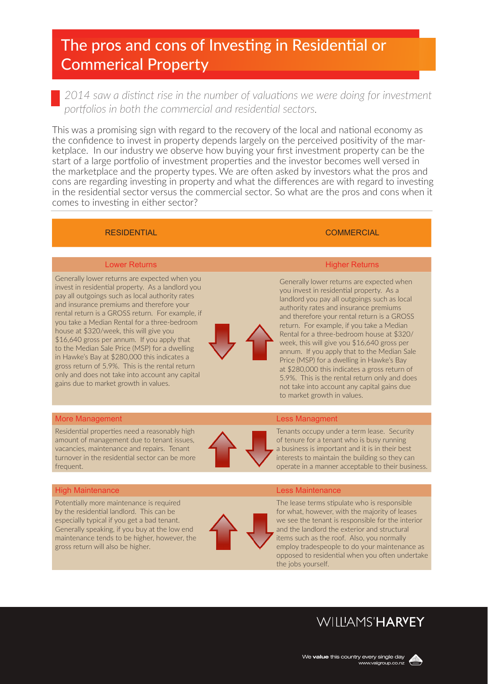# The pros and cons of Investing in Residential or Commerical Property

2014 saw a distinct rise in the number of valuations we were doing for investment *portfolios in both the commercial and residential sectors.* 

This was a promising sign with regard to the recovery of the local and national economy as the confidence to invest in property depends largely on the perceived positivity of the marketplace. In our industry we observe how buying your first investment property can be the start of a large portfolio of investment properties and the investor becomes well versed in the marketplace and the property types. We are often asked by investors what the pros and cons are regarding investing in property and what the differences are with regard to investing in the residential sector versus the commercial sector. So what are the pros and cons when it comes to investing in either sector?

# RESIDENTIAL COMMERCIAL COMMERCIAL

Generally lower returns are expected when you invest in residential property. As a landlord you pay all outgoings such as local authority rates and insurance premiums and therefore your rental return is a GROSS return. For example, if you take a Median Rental for a three-bedroom house at \$320/week, this will give you \$16,640 gross per annum. If you apply that to the Median Sale Price (MSP) for a dwelling in Hawke's Bay at \$280,000 this indicates a gross return of 5.9%. This is the rental return only and does not take into account any capital gains due to market growth in values.



# Lower Returns **Higher Returns** Higher Returns **Higher Returns**

Generally lower returns are expected when you invest in residential property. As a landlord you pay all outgoings such as local authority rates and insurance premiums and therefore your rental return is a GROSS return. For example, if you take a Median Rental for a three-bedroom house at \$320/ week, this will give you \$16,640 gross per annum. If you apply that to the Median Sale Price (MSP) for a dwelling in Hawke's Bay at \$280,000 this indicates a gross return of 5.9%. This is the rental return only and does not take into account any capital gains due to market growth in values.

# More Management **Less Management** Communication and Communication Communication Communication Communication Communication Communication Communication Communication Communication Communication Communication Communication Co

Residential properties need a reasonably high amount of management due to tenant issues, vacancies, maintenance and repairs. Tenant turnover in the residential sector can be more frequent.



a business is important and it is in their best interests to maintain the building so they can operate in a manner acceptable to their business.

Tenants occupy under a term lease. Security of tenure for a tenant who is busy running

# **High Maintenance** Less Maintenance Less Maintenance

Potentially more maintenance is required by the residential landlord. This can be especially typical if you get a bad tenant. Generally speaking, if you buy at the low end maintenance tends to be higher, however, the gross return will also be higher.



The lease terms stipulate who is responsible for what, however, with the majority of leases we see the tenant is responsible for the interior and the landlord the exterior and structural items such as the roof. Also, you normally employ tradespeople to do your maintenance as opposed to residential when you often undertake the jobs yourself.

# **WILLIAMS'HARYEY**